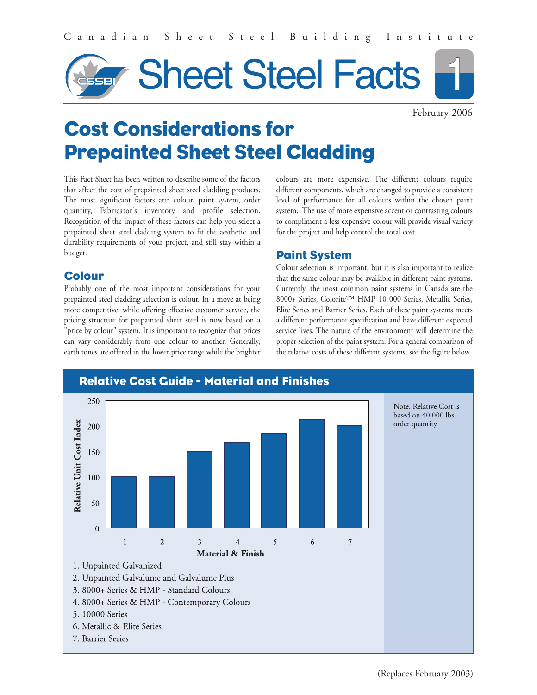

February 2006

# **Cost Considerations for Prepainted Sheet Steel Cladding**

This Fact Sheet has been written to describe some of the factors that affect the cost of prepainted sheet steel cladding products. The most significant factors are: colour, paint system, order quantity, Fabricator's inventory and profile selection. Recognition of the impact of these factors can help you select a prepainted sheet steel cladding system to fit the aesthetic and durability requirements of your project, and still stay within a budget.

## **Colour**

Probably one of the most important considerations for your prepainted steel cladding selection is colour. In a move at being more competitive, while offering effective customer service, the pricing structure for prepainted sheet steel is now based on a "price by colour" system. It is important to recognize that prices can vary considerably from one colour to another. Generally, earth tones are offered in the lower price range while the brighter colours are more expensive. The different colours require different components, which are changed to provide a consistent level of performance for all colours within the chosen paint system. The use of more expensive accent or contrasting colours to compliment a less expensive colour will provide visual variety for the project and help control the total cost.

## **Paint System**

Colour selection is important, but it is also important to realize that the same colour may be available in different paint systems. Currently, the most common paint systems in Canada are the 8000+ Series, Colorite™ HMP, 10 000 Series, Metallic Series, Elite Series and Barrier Series. Each of these paint systems meets a different performance specification and have different expected service lives. The nature of the environment will determine the proper selection of the paint system. For a general comparison of the relative costs of these different systems, see the figure below.